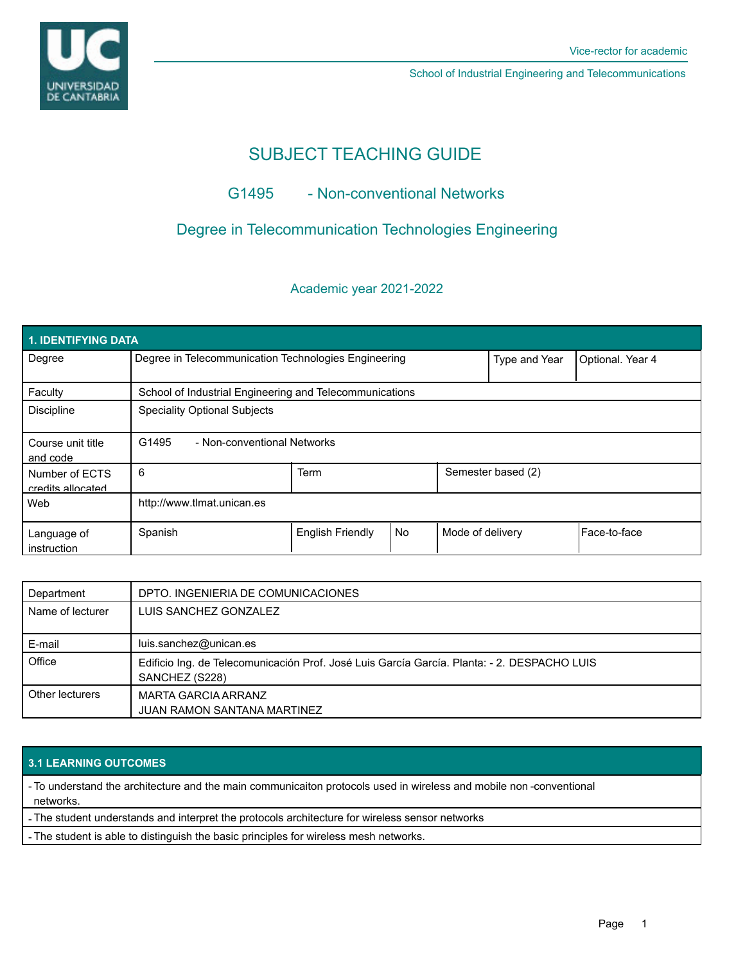

School of Industrial Engineering and Telecommunications

# SUBJECT TEACHING GUIDE

# G1495 - Non-conventional Networks

# Degree in Telecommunication Technologies Engineering

### Academic year 2021-2022

| 1. IDENTIFYING DATA                 |                                                         |                         |           |                    |               |                  |  |  |  |  |
|-------------------------------------|---------------------------------------------------------|-------------------------|-----------|--------------------|---------------|------------------|--|--|--|--|
| Degree                              | Degree in Telecommunication Technologies Engineering    |                         |           |                    | Type and Year | Optional. Year 4 |  |  |  |  |
| Faculty                             | School of Industrial Engineering and Telecommunications |                         |           |                    |               |                  |  |  |  |  |
| <b>Discipline</b>                   | <b>Speciality Optional Subjects</b>                     |                         |           |                    |               |                  |  |  |  |  |
| Course unit title<br>and code       | G1495<br>- Non-conventional Networks                    |                         |           |                    |               |                  |  |  |  |  |
| Number of ECTS<br>credits allocated | 6                                                       | Term                    |           | Semester based (2) |               |                  |  |  |  |  |
| Web                                 | http://www.tlmat.unican.es                              |                         |           |                    |               |                  |  |  |  |  |
| Language of<br>instruction          | Spanish                                                 | <b>English Friendly</b> | <b>No</b> | Mode of delivery   |               | Face-to-face     |  |  |  |  |

| Department       | DPTO. INGENIERIA DE COMUNICACIONES                                                                            |  |  |  |
|------------------|---------------------------------------------------------------------------------------------------------------|--|--|--|
| Name of lecturer | LUIS SANCHEZ GONZALEZ                                                                                         |  |  |  |
| E-mail           | luis.sanchez@unican.es                                                                                        |  |  |  |
| Office           | Edificio Ing. de Telecomunicación Prof. José Luis García García. Planta: - 2. DESPACHO LUIS<br>SANCHEZ (S228) |  |  |  |
| Other lecturers  | MARTA GARCIA ARRANZ<br><b>JUAN RAMON SANTANA MARTINEZ</b>                                                     |  |  |  |

### **3.1 LEARNING OUTCOMES**

- To understand the architecture and the main communicaiton protocols used in wireless and mobile non -conventional networks.

- The student understands and interpret the protocols architecture for wireless sensor networks

- The student is able to distinguish the basic principles for wireless mesh networks.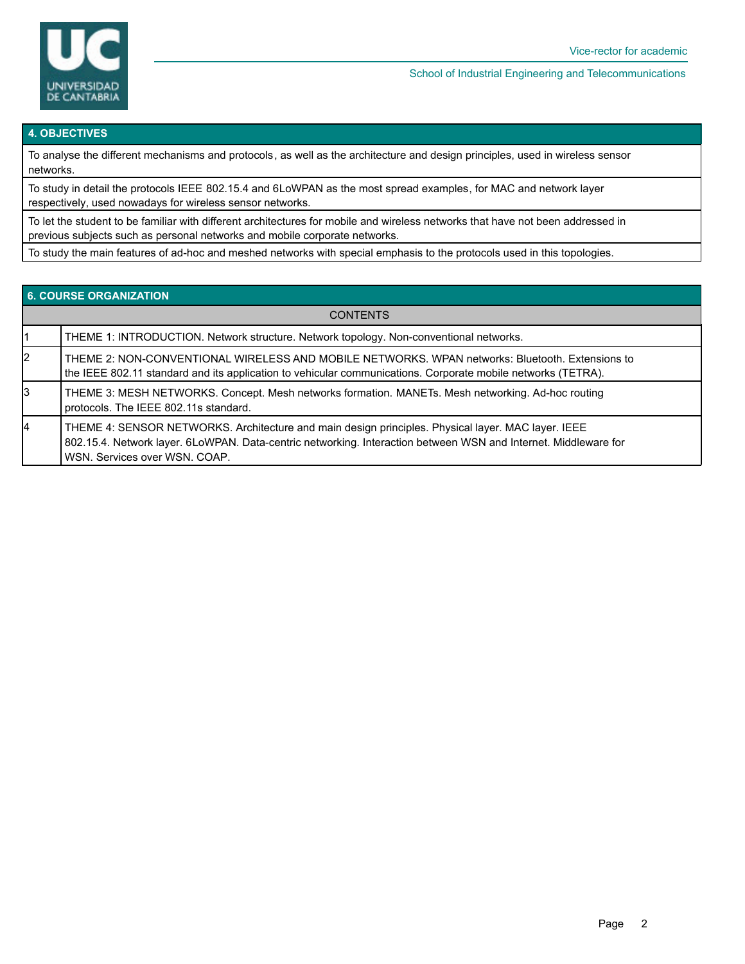

#### School of Industrial Engineering and Telecommunications

#### **4. OBJECTIVES**

To analyse the different mechanisms and protocols, as well as the architecture and design principles, used in wireless sensor networks.

To study in detail the protocols IEEE 802.15.4 and 6LoWPAN as the most spread examples, for MAC and network layer respectively, used nowadays for wireless sensor networks.

To let the student to be familiar with different architectures for mobile and wireless networks that have not been addressed in previous subjects such as personal networks and mobile corporate networks.

To study the main features of ad-hoc and meshed networks with special emphasis to the protocols used in this topologies.

| <b>6. COURSE ORGANIZATION</b> |                                                                                                                                                                                                                                                        |  |  |  |  |
|-------------------------------|--------------------------------------------------------------------------------------------------------------------------------------------------------------------------------------------------------------------------------------------------------|--|--|--|--|
| <b>CONTENTS</b>               |                                                                                                                                                                                                                                                        |  |  |  |  |
|                               | THEME 1: INTRODUCTION. Network structure. Network topology. Non-conventional networks.                                                                                                                                                                 |  |  |  |  |
| 2                             | THEME 2: NON-CONVENTIONAL WIRELESS AND MOBILE NETWORKS. WPAN networks: Bluetooth. Extensions to<br>the IEEE 802.11 standard and its application to vehicular communications. Corporate mobile networks (TETRA).                                        |  |  |  |  |
| Iз                            | THEME 3: MESH NETWORKS. Concept. Mesh networks formation. MANETs. Mesh networking. Ad-hoc routing<br>protocols. The IEEE 802.11s standard.                                                                                                             |  |  |  |  |
| 4                             | THEME 4: SENSOR NETWORKS. Architecture and main design principles. Physical layer. MAC layer. IEEE<br>802.15.4. Network layer. 6LoWPAN. Data-centric networking. Interaction between WSN and Internet. Middleware for<br>WSN. Services over WSN. COAP. |  |  |  |  |